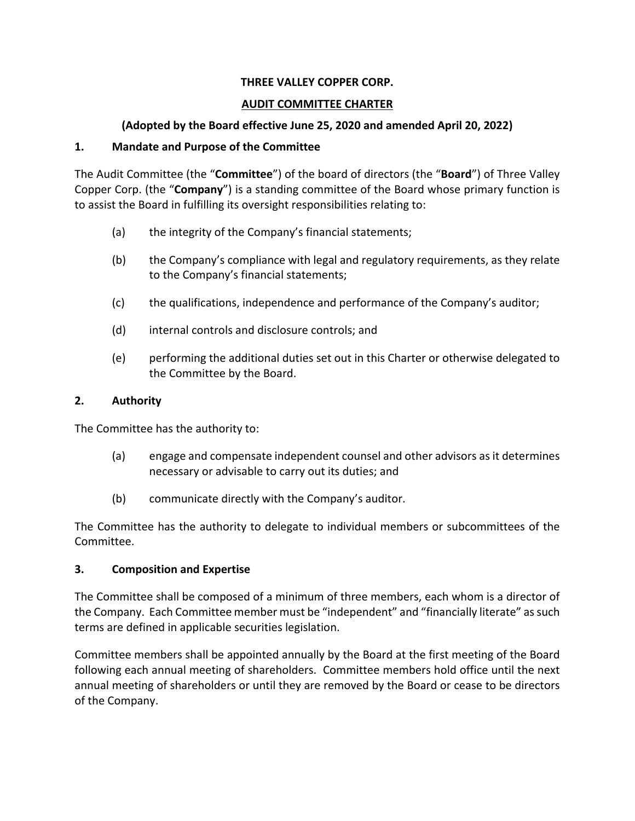# **THREE VALLEY COPPER CORP.**

#### **AUDIT COMMITTEE CHARTER**

# **(Adopted by the Board effective June 25, 2020 and amended April 20, 2022)**

## **1. Mandate and Purpose of the Committee**

The Audit Committee (the "**Committee**") of the board of directors (the "**Board**") of Three Valley Copper Corp. (the "**Company**") is a standing committee of the Board whose primary function is to assist the Board in fulfilling its oversight responsibilities relating to:

- (a) the integrity of the Company's financial statements;
- (b) the Company's compliance with legal and regulatory requirements, as they relate to the Company's financial statements;
- (c) the qualifications, independence and performance of the Company's auditor;
- (d) internal controls and disclosure controls; and
- (e) performing the additional duties set out in this Charter or otherwise delegated to the Committee by the Board.

## **2. Authority**

The Committee has the authority to:

- (a) engage and compensate independent counsel and other advisors as it determines necessary or advisable to carry out its duties; and
- (b) communicate directly with the Company's auditor.

The Committee has the authority to delegate to individual members or subcommittees of the Committee.

# **3. Composition and Expertise**

The Committee shall be composed of a minimum of three members, each whom is a director of the Company. Each Committee member must be "independent" and "financially literate" as such terms are defined in applicable securities legislation.

Committee members shall be appointed annually by the Board at the first meeting of the Board following each annual meeting of shareholders. Committee members hold office until the next annual meeting of shareholders or until they are removed by the Board or cease to be directors of the Company.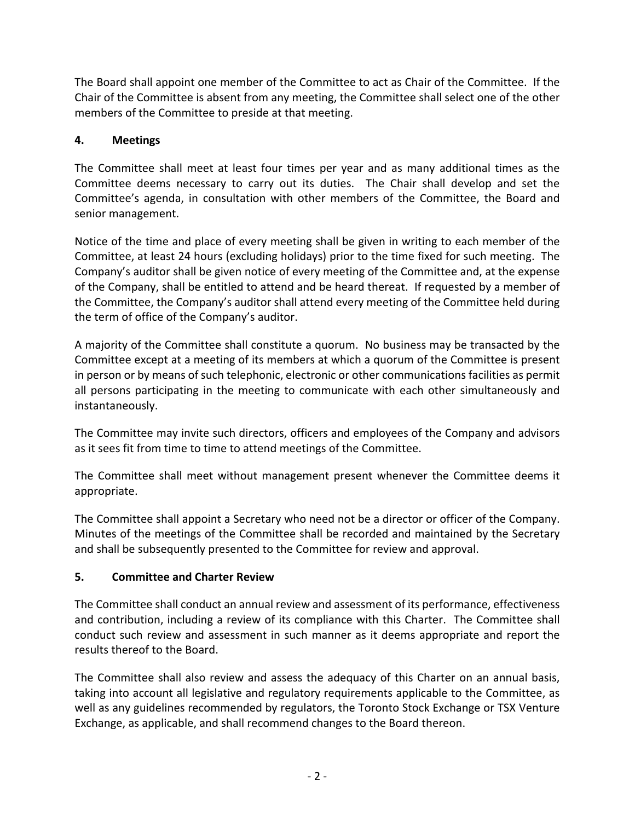The Board shall appoint one member of the Committee to act as Chair of the Committee. If the Chair of the Committee is absent from any meeting, the Committee shall select one of the other members of the Committee to preside at that meeting.

# **4. Meetings**

The Committee shall meet at least four times per year and as many additional times as the Committee deems necessary to carry out its duties. The Chair shall develop and set the Committee's agenda, in consultation with other members of the Committee, the Board and senior management.

Notice of the time and place of every meeting shall be given in writing to each member of the Committee, at least 24 hours (excluding holidays) prior to the time fixed for such meeting. The Company's auditor shall be given notice of every meeting of the Committee and, at the expense of the Company, shall be entitled to attend and be heard thereat. If requested by a member of the Committee, the Company's auditor shall attend every meeting of the Committee held during the term of office of the Company's auditor.

A majority of the Committee shall constitute a quorum. No business may be transacted by the Committee except at a meeting of its members at which a quorum of the Committee is present in person or by means of such telephonic, electronic or other communications facilities as permit all persons participating in the meeting to communicate with each other simultaneously and instantaneously.

The Committee may invite such directors, officers and employees of the Company and advisors as it sees fit from time to time to attend meetings of the Committee.

The Committee shall meet without management present whenever the Committee deems it appropriate.

The Committee shall appoint a Secretary who need not be a director or officer of the Company. Minutes of the meetings of the Committee shall be recorded and maintained by the Secretary and shall be subsequently presented to the Committee for review and approval.

# **5. Committee and Charter Review**

The Committee shall conduct an annual review and assessment of its performance, effectiveness and contribution, including a review of its compliance with this Charter. The Committee shall conduct such review and assessment in such manner as it deems appropriate and report the results thereof to the Board.

The Committee shall also review and assess the adequacy of this Charter on an annual basis, taking into account all legislative and regulatory requirements applicable to the Committee, as well as any guidelines recommended by regulators, the Toronto Stock Exchange or TSX Venture Exchange, as applicable, and shall recommend changes to the Board thereon.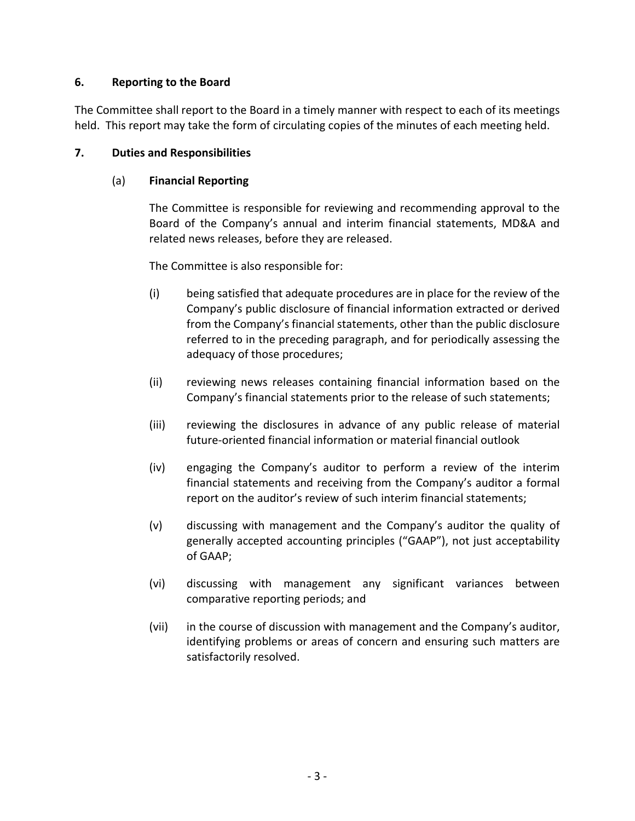# **6. Reporting to the Board**

The Committee shall report to the Board in a timely manner with respect to each of its meetings held. This report may take the form of circulating copies of the minutes of each meeting held.

## **7. Duties and Responsibilities**

## (a) **Financial Reporting**

The Committee is responsible for reviewing and recommending approval to the Board of the Company's annual and interim financial statements, MD&A and related news releases, before they are released.

The Committee is also responsible for:

- (i) being satisfied that adequate procedures are in place for the review of the Company's public disclosure of financial information extracted or derived from the Company's financial statements, other than the public disclosure referred to in the preceding paragraph, and for periodically assessing the adequacy of those procedures;
- (ii) reviewing news releases containing financial information based on the Company's financial statements prior to the release of such statements;
- (iii) reviewing the disclosures in advance of any public release of material future-oriented financial information or material financial outlook
- (iv) engaging the Company's auditor to perform a review of the interim financial statements and receiving from the Company's auditor a formal report on the auditor's review of such interim financial statements;
- (v) discussing with management and the Company's auditor the quality of generally accepted accounting principles ("GAAP"), not just acceptability of GAAP;
- (vi) discussing with management any significant variances between comparative reporting periods; and
- (vii) in the course of discussion with management and the Company's auditor, identifying problems or areas of concern and ensuring such matters are satisfactorily resolved.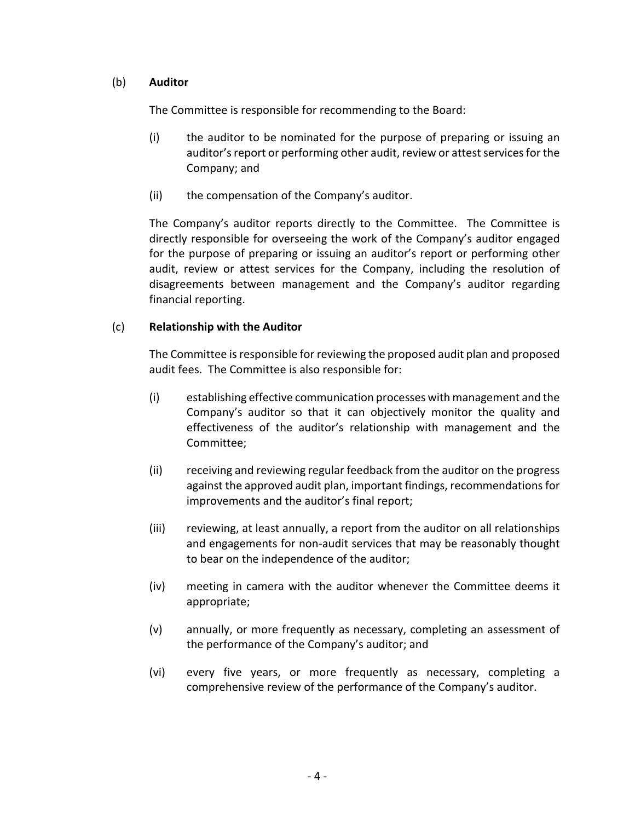## (b) **Auditor**

The Committee is responsible for recommending to the Board:

- (i) the auditor to be nominated for the purpose of preparing or issuing an auditor's report or performing other audit, review or attest services for the Company; and
- (ii) the compensation of the Company's auditor.

The Company's auditor reports directly to the Committee. The Committee is directly responsible for overseeing the work of the Company's auditor engaged for the purpose of preparing or issuing an auditor's report or performing other audit, review or attest services for the Company, including the resolution of disagreements between management and the Company's auditor regarding financial reporting.

## (c) **Relationship with the Auditor**

The Committee is responsible for reviewing the proposed audit plan and proposed audit fees. The Committee is also responsible for:

- (i) establishing effective communication processes with management and the Company's auditor so that it can objectively monitor the quality and effectiveness of the auditor's relationship with management and the Committee;
- (ii) receiving and reviewing regular feedback from the auditor on the progress against the approved audit plan, important findings, recommendations for improvements and the auditor's final report;
- (iii) reviewing, at least annually, a report from the auditor on all relationships and engagements for non-audit services that may be reasonably thought to bear on the independence of the auditor;
- (iv) meeting in camera with the auditor whenever the Committee deems it appropriate;
- (v) annually, or more frequently as necessary, completing an assessment of the performance of the Company's auditor; and
- (vi) every five years, or more frequently as necessary, completing a comprehensive review of the performance of the Company's auditor.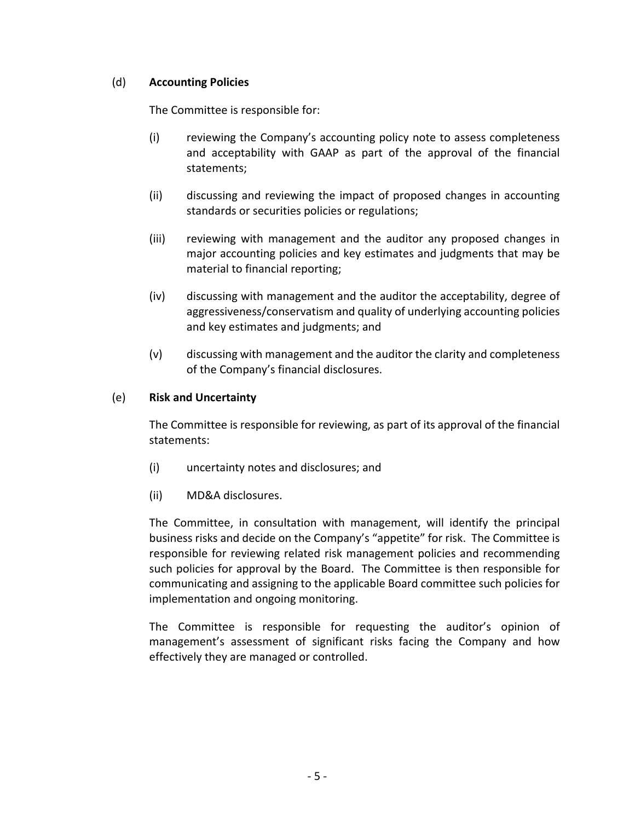## (d) **Accounting Policies**

The Committee is responsible for:

- (i) reviewing the Company's accounting policy note to assess completeness and acceptability with GAAP as part of the approval of the financial statements;
- (ii) discussing and reviewing the impact of proposed changes in accounting standards or securities policies or regulations;
- (iii) reviewing with management and the auditor any proposed changes in major accounting policies and key estimates and judgments that may be material to financial reporting;
- (iv) discussing with management and the auditor the acceptability, degree of aggressiveness/conservatism and quality of underlying accounting policies and key estimates and judgments; and
- (v) discussing with management and the auditor the clarity and completeness of the Company's financial disclosures.

## (e) **Risk and Uncertainty**

The Committee is responsible for reviewing, as part of its approval of the financial statements:

- (i) uncertainty notes and disclosures; and
- (ii) MD&A disclosures.

The Committee, in consultation with management, will identify the principal business risks and decide on the Company's "appetite" for risk. The Committee is responsible for reviewing related risk management policies and recommending such policies for approval by the Board. The Committee is then responsible for communicating and assigning to the applicable Board committee such policies for implementation and ongoing monitoring.

The Committee is responsible for requesting the auditor's opinion of management's assessment of significant risks facing the Company and how effectively they are managed or controlled.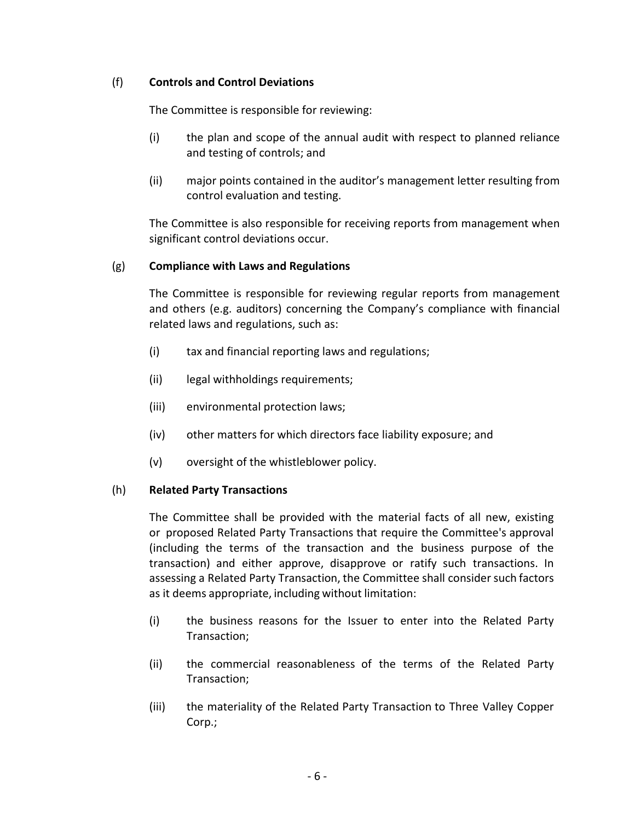# (f) **Controls and Control Deviations**

The Committee is responsible for reviewing:

- (i) the plan and scope of the annual audit with respect to planned reliance and testing of controls; and
- (ii) major points contained in the auditor's management letter resulting from control evaluation and testing.

The Committee is also responsible for receiving reports from management when significant control deviations occur.

## (g) **Compliance with Laws and Regulations**

The Committee is responsible for reviewing regular reports from management and others (e.g. auditors) concerning the Company's compliance with financial related laws and regulations, such as:

- (i) tax and financial reporting laws and regulations;
- (ii) legal withholdings requirements;
- (iii) environmental protection laws;
- (iv) other matters for which directors face liability exposure; and
- (v) oversight of the whistleblower policy.

#### (h) **Related Party Transactions**

The Committee shall be provided with the material facts of all new, existing or proposed Related Party Transactions that require the Committee's approval (including the terms of the transaction and the business purpose of the transaction) and either approve, disapprove or ratify such transactions. In assessing a Related Party Transaction, the Committee shall consider such factors as it deems appropriate, including without limitation:

- (i) the business reasons for the Issuer to enter into the Related Party Transaction;
- (ii) the commercial reasonableness of the terms of the Related Party Transaction;
- (iii) the materiality of the Related Party Transaction to Three Valley Copper Corp.;